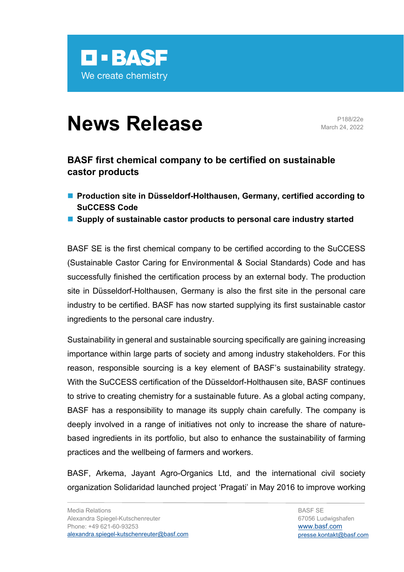

## **News Release** Pressingly 24, 2022e

March 24, 2022

## **BASF first chemical company to be certified on sustainable castor products**

- Production site in Düsseldorf-Holthausen, Germany, certified according to **SuCCESS Code**
- Supply of sustainable castor products to personal care industry started

BASF SE is the first chemical company to be certified according to the SuCCESS (Sustainable Castor Caring for Environmental & Social Standards) Code and has successfully finished the certification process by an external body. The production site in Düsseldorf-Holthausen, Germany is also the first site in the personal care industry to be certified. BASF has now started supplying its first sustainable castor ingredients to the personal care industry.

Sustainability in general and sustainable sourcing specifically are gaining increasing importance within large parts of society and among industry stakeholders. For this reason, responsible sourcing is a key element of BASF's sustainability strategy. With the SuCCESS certification of the Düsseldorf-Holthausen site, BASF continues to strive to creating chemistry for a sustainable future. As a global acting company, BASF has a responsibility to manage its supply chain carefully. The company is deeply involved in a range of initiatives not only to increase the share of naturebased ingredients in its portfolio, but also to enhance the sustainability of farming practices and the wellbeing of farmers and workers.

BASF, Arkema, Jayant Agro-Organics Ltd, and the international civil society organization Solidaridad launched project 'Pragati' in May 2016 to improve working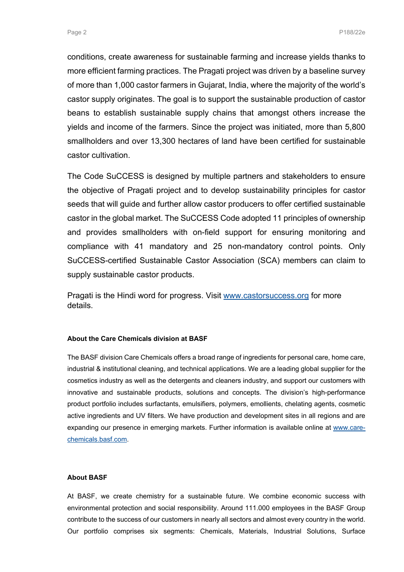conditions, create awareness for sustainable farming and increase yields thanks to more efficient farming practices. The Pragati project was driven by a baseline survey of more than 1,000 castor farmers in Gujarat, India, where the majority of the world's castor supply originates. The goal is to support the sustainable production of castor beans to establish sustainable supply chains that amongst others increase the yields and income of the farmers. Since the project was initiated, more than 5,800 smallholders and over 13,300 hectares of land have been certified for sustainable castor cultivation.

The Code SuCCESS is designed by multiple partners and stakeholders to ensure the objective of Pragati project and to develop sustainability principles for castor seeds that will guide and further allow castor producers to offer certified sustainable castor in the global market. The SuCCESS Code adopted 11 principles of ownership and provides smallholders with on-field support for ensuring monitoring and compliance with 41 mandatory and 25 non-mandatory control points. Only SuCCESS-certified Sustainable Castor Association (SCA) members can claim to supply sustainable castor products.

Pragati is the Hindi word for progress. Visit www.castorsuccess.org for more details.

## **About the Care Chemicals division at BASF**

The BASF division Care Chemicals offers a broad range of ingredients for personal care, home care, industrial & institutional cleaning, and technical applications. We are a leading global supplier for the cosmetics industry as well as the detergents and cleaners industry, and support our customers with innovative and sustainable products, solutions and concepts. The division's high-performance product portfolio includes surfactants, emulsifiers, polymers, emollients, chelating agents, cosmetic active ingredients and UV filters. We have production and development sites in all regions and are expanding our presence in emerging markets. Further information is available online at www.carechemicals.basf.com.

## **About BASF**

At BASF, we create chemistry for a sustainable future. We combine economic success with environmental protection and social responsibility. Around 111.000 employees in the BASF Group contribute to the success of our customers in nearly all sectors and almost every country in the world. Our portfolio comprises six segments: Chemicals, Materials, Industrial Solutions, Surface